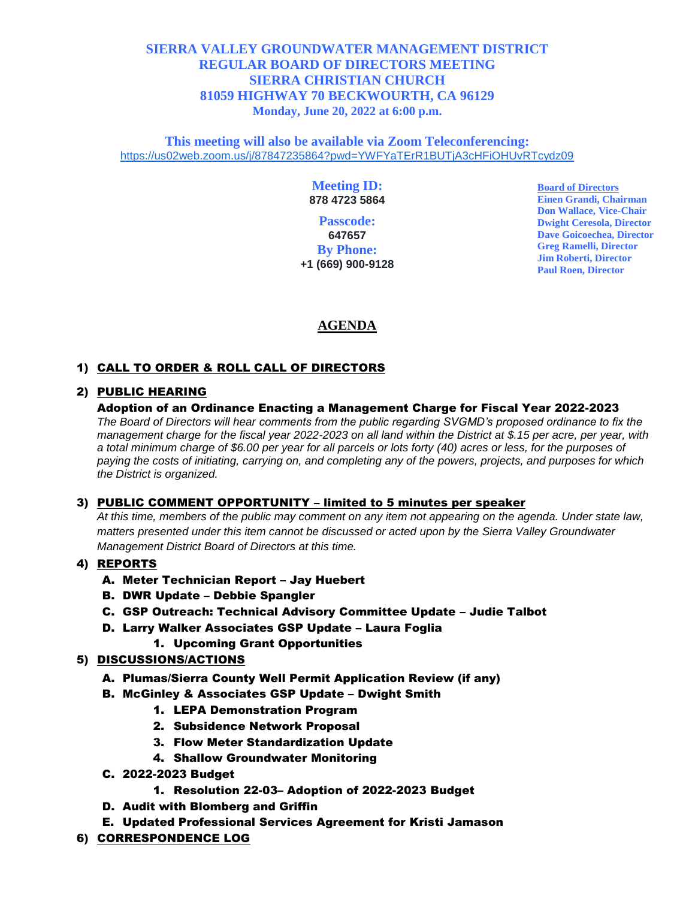## **SIERRA VALLEY GROUNDWATER MANAGEMENT DISTRICT REGULAR BOARD OF DIRECTORS MEETING SIERRA CHRISTIAN CHURCH 81059 HIGHWAY 70 BECKWOURTH, CA 96129 Monday, June 20, 2022 at 6:00 p.m.**

**This meeting will also be available via Zoom Teleconferencing:** [https://us02web.zoom.us/j/87847235864?pwd=YWFYaTErR1BUTjA3cHFiOHUvRTcydz09](https://www.google.com/url?q=https://us02web.zoom.us/j/87847235864?pwd%3DYWFYaTErR1BUTjA3cHFiOHUvRTcydz09&sa=D&source=calendar&usd=2&usg=AOvVaw17jld7UEAVbXdKVSqMMnqP)

#### **Meeting ID: 878 4723 5864**

**Passcode: 647657 By Phone: +1 (669) 900-9128**  **Board of Directors Einen Grandi, Chairman Don Wallace, Vice-Chair Dwight Ceresola, Director Dave Goicoechea, Director Greg Ramelli, Director Jim Roberti, Director Paul Roen, Director**

# **AGENDA**

## 1) CALL TO ORDER & ROLL CALL OF DIRECTORS

### 2) PUBLIC HEARING

#### Adoption of an Ordinance Enacting a Management Charge for Fiscal Year 2022-2023

*The Board of Directors will hear comments from the public regarding SVGMD's proposed ordinance to fix the management charge for the fiscal year 2022-2023 on all land within the District at \$.15 per acre, per year, with a total minimum charge of \$6.00 per year for all parcels or lots forty (40) acres or less, for the purposes of paying the costs of initiating, carrying on, and completing any of the powers, projects, and purposes for which the District is organized.* 

#### 3) PUBLIC COMMENT OPPORTUNITY – limited to 5 minutes per speaker

*At this time, members of the public may comment on any item not appearing on the agenda. Under state law, matters presented under this item cannot be discussed or acted upon by the Sierra Valley Groundwater Management District Board of Directors at this time.*

#### 4) REPORTS

- A. Meter Technician Report Jay Huebert
- B. DWR Update Debbie Spangler
- C. GSP Outreach: Technical Advisory Committee Update Judie Talbot
- D. Larry Walker Associates GSP Update Laura Foglia
	- 1. Upcoming Grant Opportunities

#### 5) DISCUSSIONS/ACTIONS

- A. Plumas/Sierra County Well Permit Application Review (if any)
- B. McGinley & Associates GSP Update Dwight Smith
	- 1. LEPA Demonstration Program
	- 2. Subsidence Network Proposal
	- 3. Flow Meter Standardization Update
	- 4. Shallow Groundwater Monitoring
- C. 2022-2023 Budget
	- 1. Resolution 22-03– Adoption of 2022-2023 Budget
- D. Audit with Blomberg and Griffin
- E. Updated Professional Services Agreement for Kristi Jamason
- 6) CORRESPONDENCE LOG